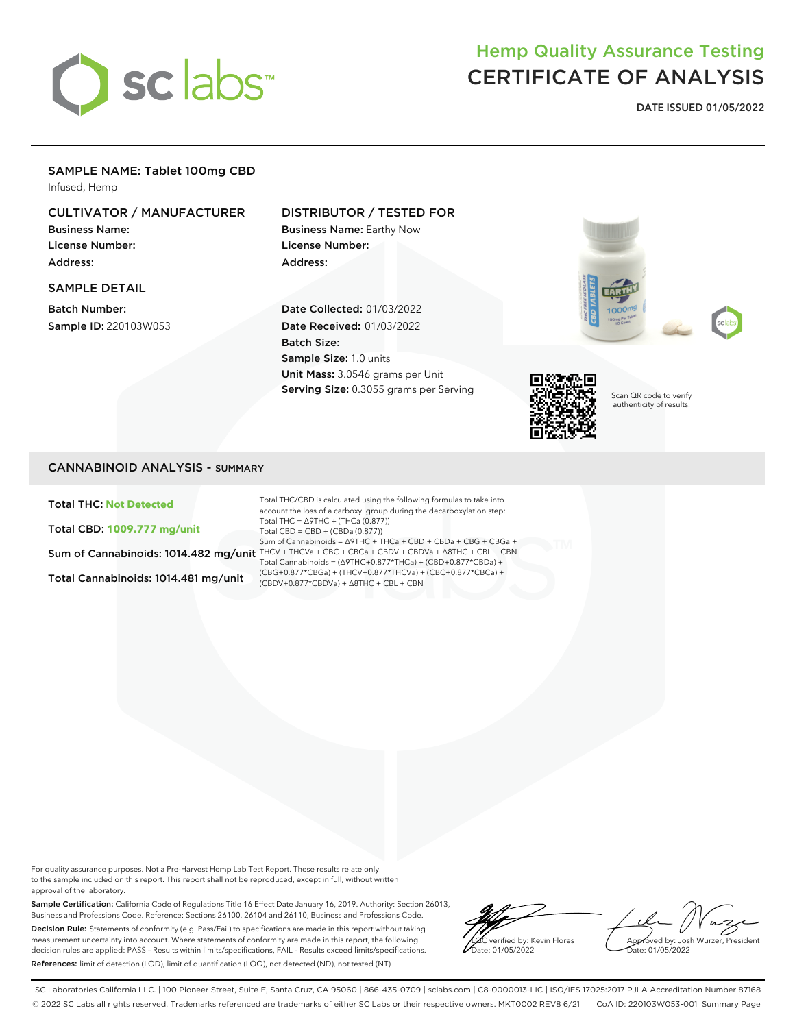

# Hemp Quality Assurance Testing CERTIFICATE OF ANALYSIS

**DATE ISSUED 01/05/2022**

## SAMPLE NAME: Tablet 100mg CBD

Infused, Hemp

# CULTIVATOR / MANUFACTURER

Business Name: License Number: Address:

#### SAMPLE DETAIL

Batch Number: Sample ID: 220103W053

# DISTRIBUTOR / TESTED FOR

Business Name: Earthy Now License Number: Address:

Date Collected: 01/03/2022 Date Received: 01/03/2022 Batch Size: Sample Size: 1.0 units Unit Mass: 3.0546 grams per Unit Serving Size: 0.3055 grams per Serving





Scan QR code to verify authenticity of results.

### CANNABINOID ANALYSIS - SUMMARY

Total THC: **Not Detected**

Total CBD: **1009.777 mg/unit**

Total Cannabinoids: 1014.481 mg/unit

Sum of Cannabinoids: 1014.482 mg/unit THCV + THCVa + CBC + CBCa + CBDV + CBDVa +  $\Delta$ 8THC + CBL + CBN Total THC/CBD is calculated using the following formulas to take into account the loss of a carboxyl group during the decarboxylation step: Total THC = ∆9THC + (THCa (0.877)) Total CBD = CBD + (CBDa (0.877)) Sum of Cannabinoids = ∆9THC + THCa + CBD + CBDa + CBG + CBGa + Total Cannabinoids = (∆9THC+0.877\*THCa) + (CBD+0.877\*CBDa) + (CBG+0.877\*CBGa) + (THCV+0.877\*THCVa) + (CBC+0.877\*CBCa) + (CBDV+0.877\*CBDVa) + ∆8THC + CBL + CBN

For quality assurance purposes. Not a Pre-Harvest Hemp Lab Test Report. These results relate only to the sample included on this report. This report shall not be reproduced, except in full, without written approval of the laboratory.

Sample Certification: California Code of Regulations Title 16 Effect Date January 16, 2019. Authority: Section 26013, Business and Professions Code. Reference: Sections 26100, 26104 and 26110, Business and Professions Code. Decision Rule: Statements of conformity (e.g. Pass/Fail) to specifications are made in this report without taking measurement uncertainty into account. Where statements of conformity are made in this report, the following decision rules are applied: PASS – Results within limits/specifications, FAIL – Results exceed limits/specifications. References: limit of detection (LOD), limit of quantification (LOQ), not detected (ND), not tested (NT)

LQC verified by: Kevin Flores ate: 01/05/2022

Approved by: Josh Wurzer, President Date: 01/05/2022

SC Laboratories California LLC. | 100 Pioneer Street, Suite E, Santa Cruz, CA 95060 | 866-435-0709 | sclabs.com | C8-0000013-LIC | ISO/IES 17025:2017 PJLA Accreditation Number 87168 © 2022 SC Labs all rights reserved. Trademarks referenced are trademarks of either SC Labs or their respective owners. MKT0002 REV8 6/21 CoA ID: 220103W053-001 Summary Page